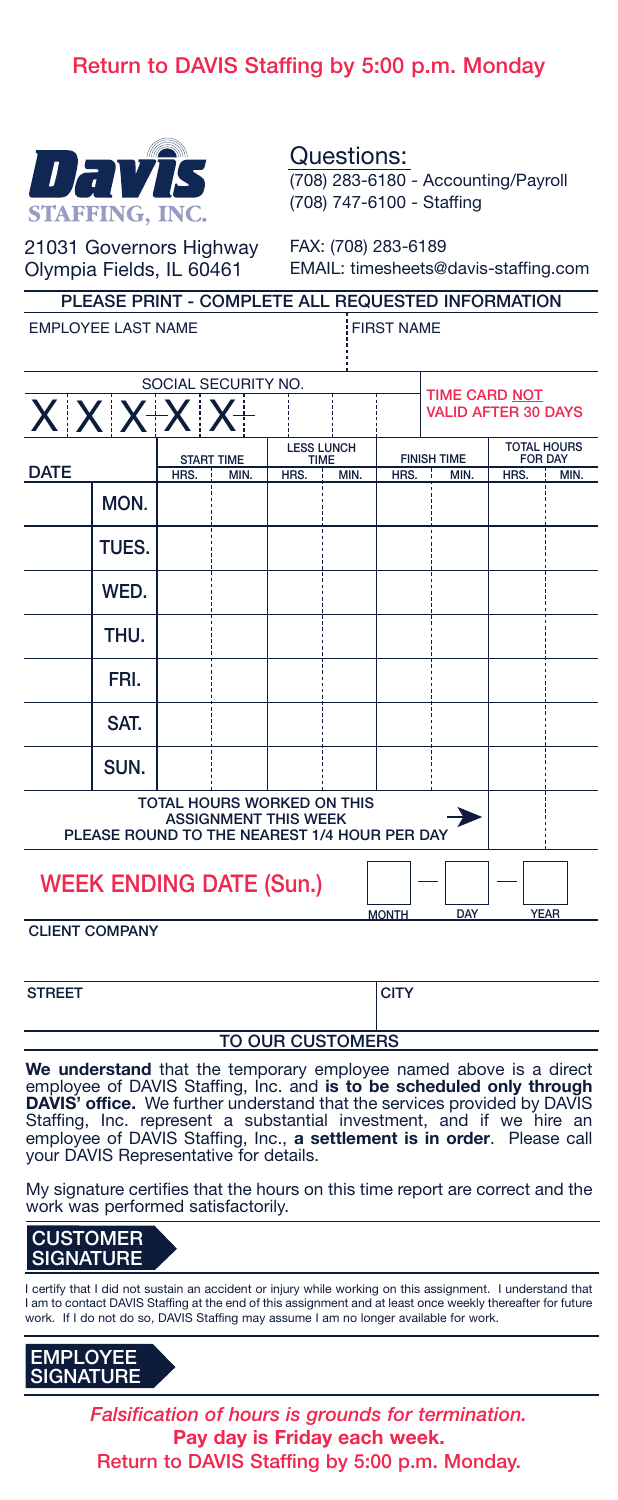## **Return to DAVIS Staffing by 5:00 p.m. Monday**



Questions: (708) 283-6180 - Accounting/Payroll (708) 747-6100 - Staffing

21031 Governors Highway Olympia Fields, IL 60461

FAX: (708) 283-6189 EMAIL: timesheets@davis-staffing.com

| orvinde i icius, il oo to i<br>Livil NL. GillCorrocto Cutting Con                                                |                                                   |                     |      |                                  |      |                    |                            |      |                                      |  |
|------------------------------------------------------------------------------------------------------------------|---------------------------------------------------|---------------------|------|----------------------------------|------|--------------------|----------------------------|------|--------------------------------------|--|
|                                                                                                                  | PLEASE PRINT - COMPLETE ALL REQUESTED INFORMATION |                     |      |                                  |      |                    |                            |      |                                      |  |
| <b>EMPLOYEE LAST NAME</b><br><b>FIRST NAME</b>                                                                   |                                                   |                     |      |                                  |      |                    |                            |      |                                      |  |
|                                                                                                                  |                                                   |                     |      |                                  |      |                    |                            |      |                                      |  |
|                                                                                                                  |                                                   | SOCIAL SECURITY NO. |      |                                  |      |                    | <b>TIME CARD NOT</b>       |      |                                      |  |
|                                                                                                                  | $X$ $X$ $X$ $X$ $X$                               |                     |      |                                  |      |                    | <b>VALID AFTER 30 DAYS</b> |      |                                      |  |
|                                                                                                                  |                                                   | <b>START TIME</b>   |      | <b>LESS LUNCH</b><br><b>TIME</b> |      | <b>FINISH TIME</b> |                            |      | <b>TOTAL HOURS</b><br><b>FOR DAY</b> |  |
| <b>DATE</b>                                                                                                      |                                                   | HRS.                | MIN. | HRS.                             | MIN. | HRS.               | MIN.                       | HRS. | MIN.                                 |  |
|                                                                                                                  | MON.                                              |                     |      |                                  |      |                    |                            |      |                                      |  |
|                                                                                                                  | TUES.                                             |                     |      |                                  |      |                    |                            |      |                                      |  |
|                                                                                                                  | WED.                                              |                     |      |                                  |      |                    |                            |      |                                      |  |
|                                                                                                                  | THU.                                              |                     |      |                                  |      |                    |                            |      |                                      |  |
|                                                                                                                  | FRI.                                              |                     |      |                                  |      |                    |                            |      |                                      |  |
|                                                                                                                  | SAT.                                              |                     |      |                                  |      |                    |                            |      |                                      |  |
|                                                                                                                  | SUN.                                              |                     |      |                                  |      |                    |                            |      |                                      |  |
| <b>TOTAL HOURS WORKED ON THIS</b><br><b>ASSIGNMENT THIS WEEK</b><br>PLEASE ROUND TO THE NEAREST 1/4 HOUR PER DAY |                                                   |                     |      |                                  |      |                    |                            |      |                                      |  |
| <b>WEEK ENDING DATE (Sun.)</b>                                                                                   |                                                   |                     |      |                                  |      |                    |                            |      |                                      |  |

**CLIENT COMPANY**

| <b>STREET</b> | <b>ICITY</b> |
|---------------|--------------|
|---------------|--------------|

**DATE**

**MONTH DAY YEAR**

## **TO OUR CUSTOMERS**

**We understand** that the temporary employee named above is a direct employee of DAVIS Staffing, Inc. and **is to be scheduled only through DAVIS' office.** We further understand that the services provided by DAVIS<br>Staffing, Inc. represent a substantial investment, and if we hire an<br>employee of DAVIS Staffing, Inc., **a settlement is in order**. Please your DAVIS Representative for details.

My signature certifies that the hours on this time report are correct and the work was performed satisfactorily.



I certify that I did not sustain an accident or injury while working on this assignment. I understand that I am to contact DAVIS Staffing at the end of this assignment and at least once weekly thereafter for future work. If I do not do so, DAVIS Staffing may assume I am no longer available for work.



*Falsification of hours is grounds for termination.* **Pay day is Friday each week. Return to DAVIS Staffing by 5:00 p.m. Monday.**